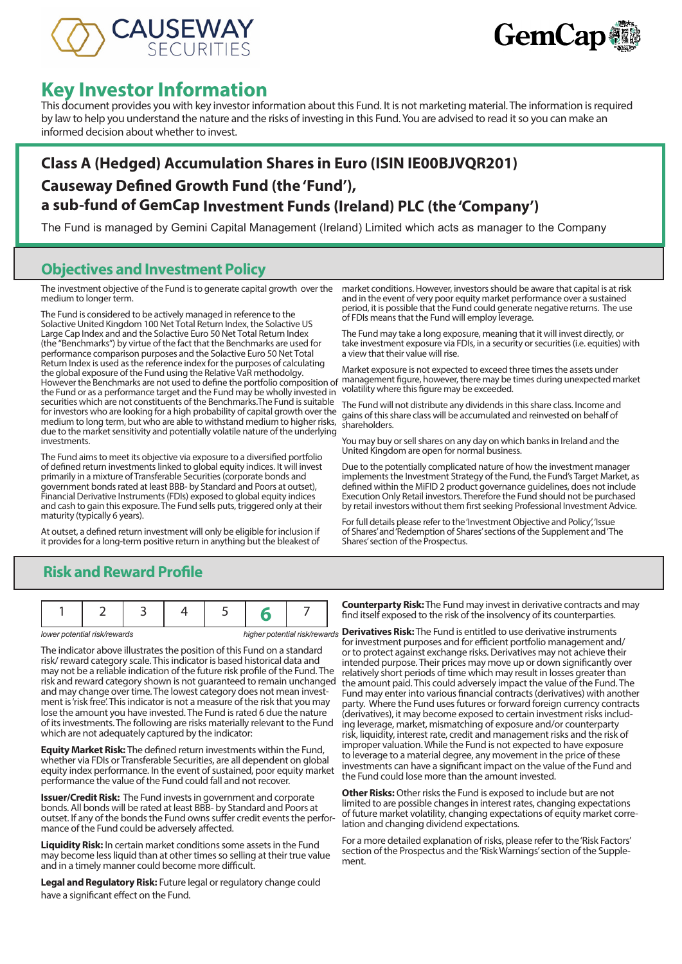



# **Key Investor Information**

This document provides you with key investor information about this Fund. It is not marketing material. The information is required by law to help you understand the nature and the risks of investing in this Fund. You are advised to read it so you can make an informed decision about whether to invest.

# **Class A (Hedged) Accumulation Shares in Euro (ISIN IE00BJVQR201) Causeway Defined Growth Fund (the 'Fund'), a sub-fund of GemCap Investment Funds (Ireland) PLC (the 'Company')**

The Fund is managed by Gemini Capital Management (Ireland) Limited which acts as manager to the Company

## **Objectives and Investment Policy**

The investment objective of the Fund is to generate capital growth over the medium to longer term.

The Fund is considered to be actively managed in reference to the Solactive United Kingdom 100 Net Total Return Index, the Solactive US Large Cap Index and and the Solactive Euro 50 Net Total Return Index (the "Benchmarks") by virtue of the fact that the Benchmarks are used for performance comparison purposes and the Solactive Euro 50 Net Total Return Index is used as the reference index for the purposes of calculating the global exposure of the Fund using the Relative VaR methodolgy. the Fund or as a performance target and the Fund may be wholly invested in securities which are not constituents of the Benchmarks.The Fund is suitable for investors who are looking for a high probability of capital growth over the medium to long term, but who are able to withstand medium to higher risks, due to the market sensitivity and potentially volatile nature of the underlying investments.

The Fund aims to meet its objective via exposure to a diversified portfolio of defined return investments linked to global equity indices. It will invest primarily in a mixture of Transferable Securities (corporate bonds and government bonds rated at least BBB- by Standard and Poors at outset), Financial Derivative Instruments (FDIs) exposed to global equity indices and cash to gain this exposure. The Fund sells puts, triggered only at their maturity (typically 6 years).

At outset, a defined return investment will only be eligible for inclusion if it provides for a long-term positive return in anything but the bleakest of market conditions. However, investors should be aware that capital is at risk and in the event of very poor equity market performance over a sustained period, it is possible that the Fund could generate negative returns. The use of FDIs means that the Fund will employ leverage.

The Fund may take a long exposure, meaning that it will invest directly, or take investment exposure via FDIs, in a security or securities (i.e. equities) with a view that their value will rise.

the global exposure of the Pand asing the helative varificenously.<br>However the Benchmarks are not used to define the portfolio composition of management figure, however, there may be times during unexpected market Market exposure is not expected to exceed three times the assets under volatility where this figure may be exceeded.

> The Fund will not distribute any dividends in this share class. Income and gains of this share class will be accumulated and reinvested on behalf of shareholders.

> You may buy or sell shares on any day on which banks in Ireland and the United Kingdom are open for normal business.

Due to the potentially complicated nature of how the investment manager implements the Investment Strategy of the Fund, the Fund's Target Market, as defined within the MiFID 2 product governance guidelines, does not include Execution Only Retail investors. Therefore the Fund should not be purchased by retail investors without them first seeking Professional Investment Advice.

For full details please refer to the 'Investment Objective and Policy', 'Issue of Shares' and 'Redemption of Shares' sections of the Supplement and 'The Shares' section of the Prospectus.

# **Risk and Reward Profile**

|--|--|--|

The indicator above illustrates the position of this Fund on a standard risk/ reward category scale. This indicator is based historical data and may not be a reliable indication of the future risk profile of the Fund. The risk and reward category shown is not guaranteed to remain unchanged and may change over time. The lowest category does not mean investment is 'risk free'. This indicator is not a measure of the risk that you may lose the amount you have invested. The Fund is rated 6 due the nature of its investments. The following are risks materially relevant to the Fund which are not adequately captured by the indicator:

**Equity Market Risk:** The defined return investments within the Fund, whether via FDIs or Transferable Securities, are all dependent on global equity index performance. In the event of sustained, poor equity market performance the value of the Fund could fall and not recover.

**Issuer/Credit Risk:** The Fund invests in government and corporate bonds. All bonds will be rated at least BBB- by Standard and Poors at outset. If any of the bonds the Fund owns suffer credit events the performance of the Fund could be adversely affected.

**Liquidity Risk:** In certain market conditions some assets in the Fund may become less liquid than at other times so selling at their true value and in a timely manner could become more difficult.

**Legal and Regulatory Risk:** Future legal or regulatory change could have a significant effect on the Fund.

**Counterparty Risk:** The Fund may invest in derivative contracts and may find itself exposed to the risk of the insolvency of its counterparties.

*lower potential risk/rewards higher potential risk/rewards* **Derivatives Risk:** The Fund is entitled to use derivative instruments for investment purposes and for efficient portfolio management and/ or to protect against exchange risks. Derivatives may not achieve their intended purpose. Their prices may move up or down significantly over relatively short periods of time which may result in losses greater than the amount paid. This could adversely impact the value of the Fund. The Fund may enter into various financial contracts (derivatives) with another party. Where the Fund uses futures or forward foreign currency contracts (derivatives), it may become exposed to certain investment risks including leverage, market, mismatching of exposure and/or counterparty risk, liquidity, interest rate, credit and management risks and the risk of improper valuation. While the Fund is not expected to have exposure to leverage to a material degree, any movement in the price of these investments can have a significant impact on the value of the Fund and the Fund could lose more than the amount invested.

> **Other Risks:** Other risks the Fund is exposed to include but are not limited to are possible changes in interest rates, changing expectations of future market volatility, changing expectations of equity market correlation and changing dividend expectations.

For a more detailed explanation of risks, please refer to the 'Risk Factors' section of the Prospectus and the 'Risk Warnings' section of the Supplement.